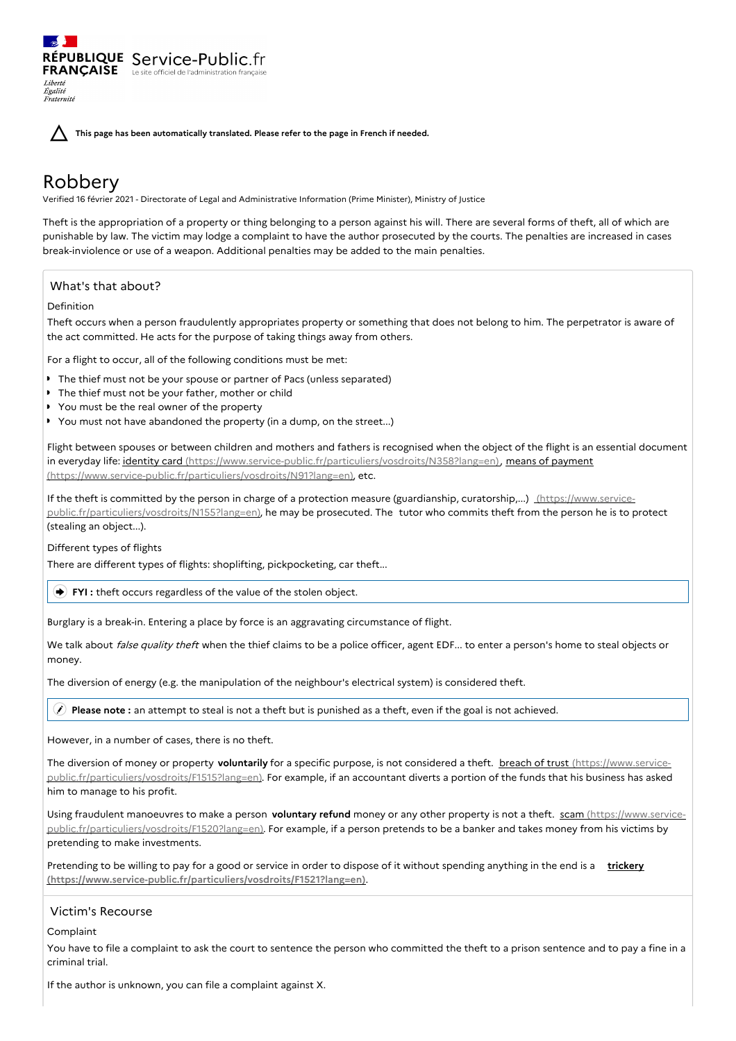**This page has been automatically translated. Please refer to the page in French if needed.**

# Robbery

Liberté Égalité Fraternité

Verified 16 février 2021 - Directorate of Legal and Administrative Information (Prime Minister), Ministry of Justice

Theft is the appropriation of a property or thing belonging to a person against his will. There are several forms of theft, all of which are punishable by law. The victim may lodge a complaint to have the author prosecuted by the courts. The penalties are increased in cases break-inviolence or use of a weapon. Additional penalties may be added to the main penalties.

## What's that about?

## Definition

Theft occurs when a person fraudulently appropriates property or something that does not belong to him. The perpetrator is aware of the act committed. He acts for the purpose of taking things away from others.

For a flight to occur, all of the following conditions must be met:

- **The thief must not be your spouse or partner of Pacs (unless separated)**
- The thief must not be your father, mother or child
- You must be the real owner of the property

RÉPUBLIQUE Service-Public.fr **FRANÇAISE** Le site officiel de l'administration fran

■ You must not have abandoned the property (in a dump, on the street...)

Flight between spouses or between children and mothers and fathers is recognised when the object of the flight is an essential document in everyday life: identity card [\(https://www.service-public.fr/particuliers/vosdroits/N358?lang=en\)](https://www.service-public.fr/particuliers/vosdroits/N358?lang=en)[,](https://www.service-public.fr/particuliers/vosdroits/N91?lang=en) means of payment (https://www.service-public.fr/particuliers/vosdroits/N91?lang=en), etc.

If the theft is committed by the person in charge of a protection measure (guardianship, curatorship,...) (https://www.service[public.fr/particuliers/vosdroits/N155?lang=en\),](https://www.service-public.fr/particuliers/vosdroits/N155?lang=en) he may be prosecuted. The tutor who commits theft from the person he is to protect (stealing an object...).

Different types of flights

There are different types of flights: shoplifting, pickpocketing, car theft...

**FYI** : theft occurs regardless of the value of the stolen object.

Burglary is a break-in. Entering a place by force is an aggravating circumstance of flight.

We talk about false quality theft when the thief claims to be a police officer, agent EDF... to enter a person's home to steal objects or money.

The diversion of energy (e.g. the manipulation of the neighbour's electrical system) is considered theft.

**Please note :** an attempt to steal is not a theft but is punished as a theft, even if the goal is not achieved.

However, in a number of cases, there is no theft.

The diversion of money or property **voluntarily** for a specific purpose, is not considered a theft. breach of trust (https://www.service[public.fr/particuliers/vosdroits/F1515?lang=en\).](https://www.service-public.fr/particuliers/vosdroits/F1515?lang=en) For example, if an accountant diverts a portion of the funds that his business has asked him to manage to his profit.

Using fraudulent manoeuvres to make a person **voluntary refund** money or any other property is not a theft. scam (https://www.service[public.fr/particuliers/vosdroits/F1520?lang=en\).](https://www.service-public.fr/particuliers/vosdroits/F1520?lang=en) For example, if a person pretends to be a banker and takes money from his victims by pretending to make investments.

Pretending to be willing to pay for a good or service in order to dispose of it without spending anything in the end is a **trickery [\(https://www.service-public.fr/particuliers/vosdroits/F1521?lang=en\)](https://www.service-public.fr/particuliers/vosdroits/F1521?lang=en)**.

## Victim's Recourse

Complaint

You have to file a complaint to ask the court to sentence the person who committed the theft to a prison sentence and to pay a fine in a criminal trial.

If the author is unknown, you can file a complaint against X.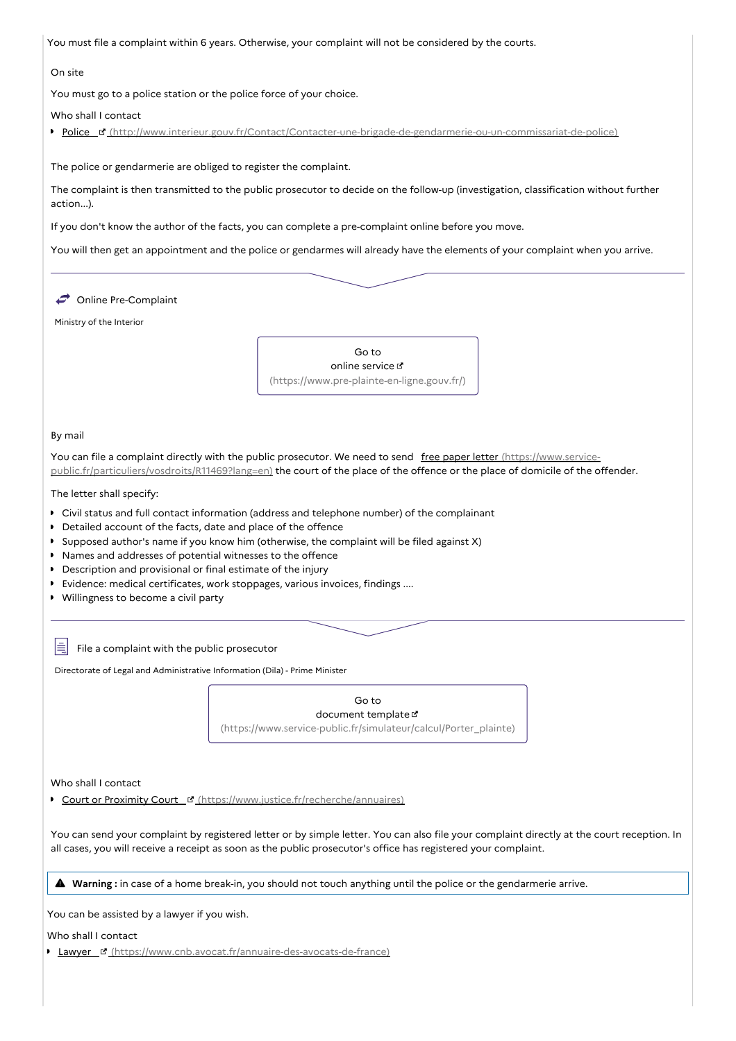You must file a complaint within 6 years. Otherwise, your complaint will not be considered by the courts.

### On site

You must go to a police station or the police force of your choice.

Who shall I contact

Police [\(http://www.interieur.gouv.fr/Contact/Contacter-une-brigade-de-gendarmerie-ou-un-commissariat-de-police\)](http://www.interieur.gouv.fr/Contact/Contacter-une-brigade-de-gendarmerie-ou-un-commissariat-de-police)

The police or gendarmerie are obliged to register the complaint.

The complaint is then transmitted to the public prosecutor to decide on the follow-up (investigation, classification without further action...).

If you don't know the author of the facts, you can complete a pre-complaint online before you move.

You will then get an appointment and the police or gendarmes will already have the elements of your complaint when you arrive.



Directorate of Legal and Administrative Information (Dila) - Prime Minister

Go to document template  $\mathbb{E}$ [\(https://www.service-public.fr/simulateur/calcul/Porter\\_plainte\)](https://www.service-public.fr/simulateur/calcul/Porter_plainte)

Who shall I contact

Court or Proximity Court E [\(https://www.justice.fr/recherche/annuaires\)](https://www.justice.fr/recherche/annuaires)

You can send your complaint by registered letter or by simple letter. You can also file your complaint directly at the court reception. In all cases, you will receive a receipt as soon as the public prosecutor's office has registered your complaint.

**Warning :** in case of <sup>a</sup> home break-in, you should not touch anything until the police or the gendarmerie arrive.

You can be assisted by a lawyer if you wish.

Who shall I contact

**Lawyer & [\(https://www.cnb.avocat.fr/annuaire-des-avocats-de-france\)](https://www.cnb.avocat.fr/annuaire-des-avocats-de-france)**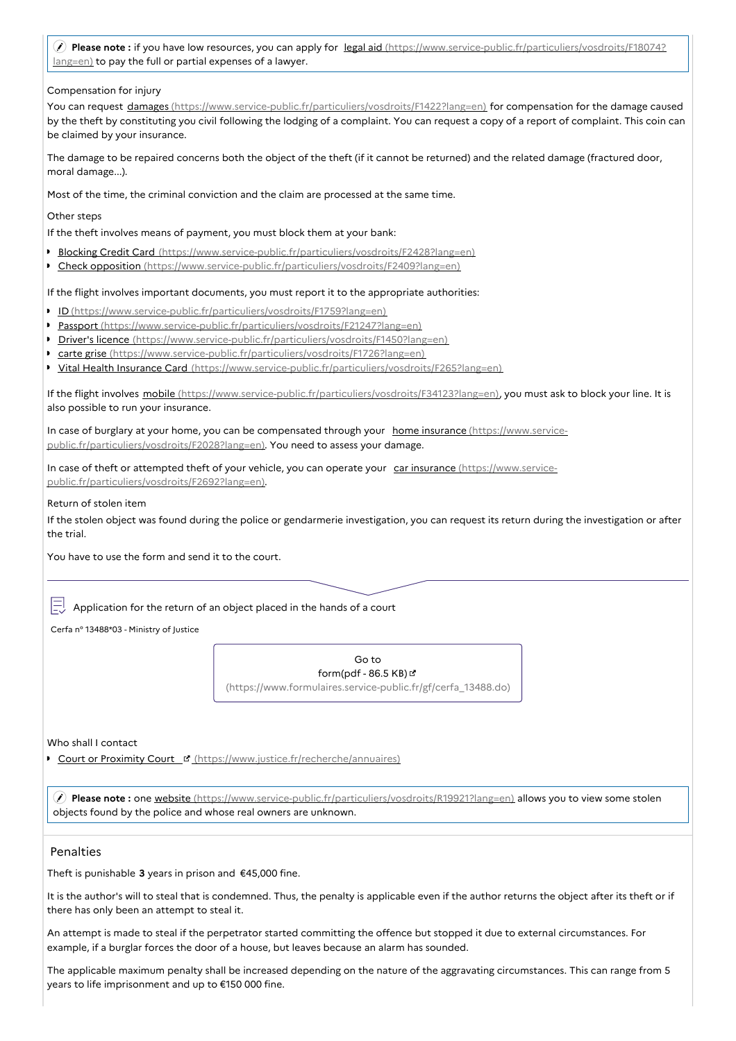**Please note :** if you have low resources, you can apply for legal aid [\(https://www.service-public.fr/particuliers/vosdroits/F18074?](https://www.service-public.fr/particuliers/vosdroits/F18074?lang=en) lang=en) to pay the full or partial expenses of a lawyer.

Compensation for injury

You can request damages [\(https://www.service-public.fr/particuliers/vosdroits/F1422?lang=en\)](https://www.service-public.fr/particuliers/vosdroits/F1422?lang=en) for compensation for the damage caused by the theft by constituting you civil following the lodging of a complaint. You can request a copy of a report of complaint. This coin can be claimed by your insurance.

The damage to be repaired concerns both the object of the theft (if it cannot be returned) and the related damage (fractured door, moral damage...).

Most of the time, the criminal conviction and the claim are processed at the same time.

Other steps

If the theft involves means of payment, you must block them at your bank:

- **Blocking Credit Card** [\(https://www.service-public.fr/particuliers/vosdroits/F2428?lang=en\)](https://www.service-public.fr/particuliers/vosdroits/F2428?lang=en)
- Check opposition [\(https://www.service-public.fr/particuliers/vosdroits/F2409?lang=en\)](https://www.service-public.fr/particuliers/vosdroits/F2409?lang=en)

If the flight involves important documents, you must report it to the appropriate authorities:

- ID [\(https://www.service-public.fr/particuliers/vosdroits/F1759?lang=en\)](https://www.service-public.fr/particuliers/vosdroits/F1759?lang=en)
- Passport [\(https://www.service-public.fr/particuliers/vosdroits/F21247?lang=en\)](https://www.service-public.fr/particuliers/vosdroits/F21247?lang=en)
- Driver's licence [\(https://www.service-public.fr/particuliers/vosdroits/F1450?lang=en\)](https://www.service-public.fr/particuliers/vosdroits/F1450?lang=en)
- carte grise [\(https://www.service-public.fr/particuliers/vosdroits/F1726?lang=en\)](https://www.service-public.fr/particuliers/vosdroits/F1726?lang=en)
- Vital Health Insurance Card [\(https://www.service-public.fr/particuliers/vosdroits/F265?lang=en\)](https://www.service-public.fr/particuliers/vosdroits/F265?lang=en)

If the flight involves mobile [\(https://www.service-public.fr/particuliers/vosdroits/F34123?lang=en\),](https://www.service-public.fr/particuliers/vosdroits/F34123?lang=en) you must ask to block your line. It is also possible to run your insurance.

In case of burglary at your home, you can be compensated through your home insurance (https://www.service[public.fr/particuliers/vosdroits/F2028?lang=en\).](https://www.service-public.fr/particuliers/vosdroits/F2028?lang=en) You need to assess your damage.

In case of theft or attempted theft of your vehicle, you can operate your car insurance (https://www.service[public.fr/particuliers/vosdroits/F2692?lang=en\).](https://www.service-public.fr/particuliers/vosdroits/F2692?lang=en)

Return of stolen item

If the stolen object was found during the police or gendarmerie investigation, you can request its return during the investigation or after the trial.

You have to use the form and send it to the court.

Application for the return of an object placed in the hands of a court

Cerfa n° 13488\*03 - Ministry of Justice

Go to form(pdf -  $86.5$  KB) $C$ [\(https://www.formulaires.service-public.fr/gf/cerfa\\_13488.do\)](https://www.formulaires.service-public.fr/gf/cerfa_13488.do)

Who shall Lcontact

Court or Proximity Court [\(https://www.justice.fr/recherche/annuaires\)](https://www.justice.fr/recherche/annuaires)

 **Please note :** one website [\(https://www.service-public.fr/particuliers/vosdroits/R19921?lang=en\)](https://www.service-public.fr/particuliers/vosdroits/R19921?lang=en) allows you to view some stolen objects found by the police and whose real owners are unknown.

## Penalties

Theft is punishable **3** years in prison and €45,000 fine.

It is the author's will to steal that is condemned. Thus, the penalty is applicable even if the author returns the object after its theft or if there has only been an attempt to steal it.

An attempt is made to steal if the perpetrator started committing the offence but stopped it due to external circumstances. For example, if a burglar forces the door of a house, but leaves because an alarm has sounded.

The applicable maximum penalty shall be increased depending on the nature of the aggravating circumstances. This can range from 5 years to life imprisonment and up to €150 000 fine.